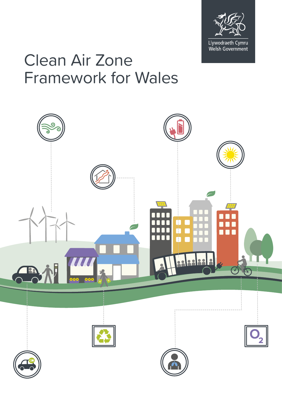

## Clean Air Zone Framework for Wales

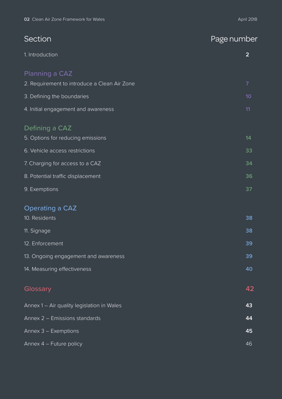| Section                                      | Page number    |
|----------------------------------------------|----------------|
| 1. Introduction                              | $\overline{2}$ |
| Planning a CAZ                               |                |
| 2. Requirement to introduce a Clean Air Zone | $\overline{7}$ |
| 3. Defining the boundaries                   | 10             |
| 4. Initial engagement and awareness          | 11             |
| Defining a CAZ                               |                |
| 5. Options for reducing emissions            | 14             |
| 6. Vehicle access restrictions               | 33             |
| 7. Charging for access to a CAZ              | 34             |
| 8. Potential traffic displacement            | 36             |
| 9. Exemptions                                | 37             |
| <b>Operating a CAZ</b>                       |                |
| 10. Residents                                | 38             |
| 11. Signage                                  | 38             |
| 12. Enforcement                              | 39             |
| 13. Ongoing engagement and awareness         | 39             |
| 14. Measuring effectiveness                  | 40             |
| Glossary                                     | 42             |
| Annex 1 - Air quality legislation in Wales   | 43             |
| Annex 2 - Emissions standards                | 44             |
| Annex 3 - Exemptions                         | 45             |
| Annex 4 - Future policy                      | 46             |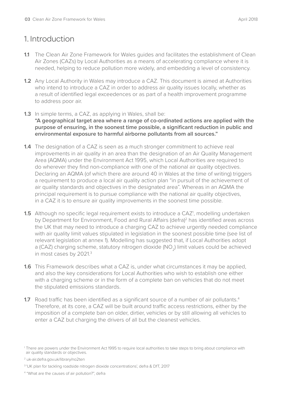## 1. Introduction

- **1.1** The Clean Air Zone Framework for Wales guides and facilitates the establishment of Clean Air Zones (CAZs) by Local Authorities as a means of accelerating compliance where it is needed, helping to reduce pollution more widely, and embedding a level of consistency.
- **1.2** Any Local Authority in Wales may introduce a CAZ. This document is aimed at Authorities who intend to introduce a CAZ in order to address air quality issues locally, whether as a result of identified legal exceedences or as part of a health improvement programme to address poor air.
- **1.3** In simple terms, a CAZ, as applying in Wales, shall be: **"A geographical target area where a range of co-ordinated actions are applied with the purpose of ensuring, in the soonest time possible, a significant reduction in public and environmental exposure to harmful airborne pollutants from all sources."**
- **1.4** The designation of a CAZ is seen as a much stronger commitment to achieve real improvements in air quality in an area than the designation of an Air Quality Management Area (AQMA) under the Environment Act 1995, which Local Authorities are required to do wherever they find non-compliance with one of the national air quality objectives. Declaring an AQMA (of which there are around 40 in Wales at the time of writing) triggers a requirement to produce a local air quality action plan "in pursuit of the achievement of air quality standards and objectives in the designated area". Whereas in an AQMA the principal requirement is to pursue compliance with the national air quality objectives, in a CAZ it is to ensure air quality improvements in the soonest time possible.
- **1.5** Although no specific legal requirement exists to introduce a CAZ<sup>1</sup>, modelling undertaken by Department for Environment, Food and Rural Affairs (defra)<sup>2</sup> has identified areas across the UK that may need to introduce a charging CAZ to achieve urgently needed compliance with air quality limit values stipulated in legislation in the soonest possible time (see list of relevant legislation at annex 1). Modelling has suggested that, if Local Authorities adopt a (CAZ) charging scheme, statutory nitrogen dioxide (NO<sub>2</sub>) limit values could be achieved in most cases by 2021.<sup>3</sup>
- **1.6** This Framework describes what a CAZ is, under what circumstances it may be applied, and also the key considerations for Local Authorities who wish to establish one either with a charging scheme or in the form of a complete ban on vehicles that do not meet the stipulated emissions standards.
- **1.7** Road traffic has been identified as a significant source of a number of air pollutants.<sup>4</sup> Therefore, at its core, a CAZ will be built around traffic access restrictions, either by the imposition of a complete ban on older, dirtier, vehicles or by still allowing all vehicles to enter a CAZ but charging the drivers of all but the cleanest vehicles.

<sup>1</sup> There are powers under the Environment Act 1995 to require local authorities to take steps to bring about compliance with air quality standards or objectives.

<sup>2</sup> [uk-air.defra.gov.uk/library/no2ten](http://uk-air.defra.gov.uk/library/no2ten)

<sup>3 &#</sup>x27;UK plan for tackling roadside nitrogen dioxide concentrations', defra & DfT, 2017

<sup>4</sup> "What are the causes of air pollution?", defra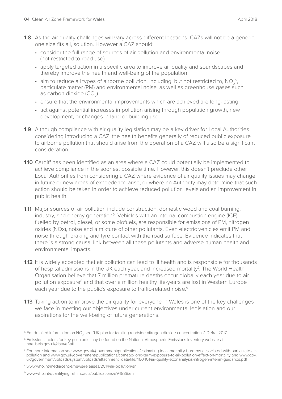- consider the full range of sources of air pollution and environmental noise (not restricted to road use)
- apply targeted action in a specific area to improve air quality and soundscapes and thereby improve the health and well-being of the population
- aim to reduce all types of airborne pollution, including, but not restricted to,  $NO<sub>2</sub><sup>5</sup>$ , particulate matter (PM) and environmental noise, as well as greenhouse gases such as carbon dioxide  $(CO<sub>2</sub>)$
- ensure that the environmental improvements which are achieved are long-lasting
- act against potential increases in pollution arising through population growth, new development, or changes in land or building use.
- **1.9** Although compliance with air quality legislation may be a key driver for Local Authorities considering introducing a CAZ, the health benefits generally of reduced public exposure to airborne pollution that should arise from the operation of a CAZ will also be a significant consideration.
- **1.10** Cardiff has been identified as an area where a CAZ could potentially be implemented to achieve compliance in the soonest possible time. However, this doesn't preclude other Local Authorities from considering a CAZ where evidence of air quality issues may change in future or new areas of exceedence arise, or where an Authority may determine that such action should be taken in order to achieve reduced pollution levels and an improvement in public health.
- **1.11** Major sources of air pollution include construction, domestic wood and coal burning, industry, and energy generation<sup> $6$ </sup>. Vehicles with an internal combustion engine (ICE) fuelled by petrol, diesel, or some biofuels, are responsible for emissions of PM, nitrogen oxides (NOx), noise and a mixture of other pollutants. Even electric vehicles emit PM and noise through braking and tyre contact with the road surface. Evidence indicates that there is a strong causal link between all these pollutants and adverse human health and environmental impacts.
- **1.12** It is widely accepted that air pollution can lead to ill health and is responsible for thousands of hospital admissions in the UK each year, and increased mortality<sup>7</sup>. The World Health Organisation believe that 7 million premature deaths occur globally each year due to air pollution exposure<sup>8</sup> and that over a million healthy life-years are lost in Western Europe each year due to the public's exposure to traffic-related noise.<sup>9</sup>
- **1.13** Taking action to improve the air quality for everyone in Wales is one of the key challenges we face in meeting our objectives under current environmental legislation and our aspirations for the well-being of future generations.

 $^{\rm 5}$  For detailed information on NO<sub>2</sub> see "UK plan for tackling roadside nitrogen dioxide concentrations", Defra, 2017

<sup>6</sup> Emissions factors for key pollutants may be found on the National Atmospheric Emissions Inventory website at [naei.beis.gov.uk/data/ef-all](http://naei.beis.gov.uk/data/ef-all)

<sup>7</sup> For more information see [www.gov.uk/government/publications/estimating-local-mortality-burdens-associated-with-particulate-air](http://www.gov.uk/government/publications/estimating-local-mortality-burdens-associated-with-particulate-air-pollution)[pollution](http://www.gov.uk/government/publications/estimating-local-mortality-burdens-associated-with-particulate-air-pollution) and [www.gov.uk/government/publications/comeap-long-term-exposure-to-air-pollution-effect-on-mortality](http://www.gov.uk/government/publications/comeap-long-term-exposure-to-air-pollution-effect-on-mortality) and [www.gov.](http://www.gov.uk/government/uploads/system/uploads/attachment_data/file/460401/air-quality-econanalysis-nitrogen-interim-guidance.pdf) [uk/government/uploads/system/uploads/attachment\\_data/file/460401/air-quality-econanalysis-nitrogen-interim-guidance.pdf](http://www.gov.uk/government/uploads/system/uploads/attachment_data/file/460401/air-quality-econanalysis-nitrogen-interim-guidance.pdf)

<sup>8</sup> [www.who.int/mediacentre/news/releases/2014/air-pollution/en](http://www.who.int/mediacentre/news/releases/2014/air-pollution/en)

<sup>9</sup> [www.who.int/quantifying\\_ehimpacts/publications/e94888/en](http://www.who.int/quantifying_ehimpacts/publications/e94888/en)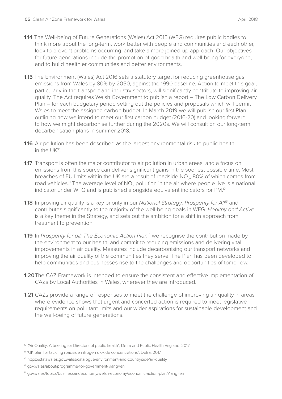- **1.14** The Well-being of Future Generations (Wales) Act 2015 (WFG) requires public bodies to think more about the long-term, work better with people and communities and each other, look to prevent problems occurring, and take a more joined-up approach. Our objectives for future generations include the promotion of good health and well-being for everyone, and to build healthier communities and better environments.
- **1.15** The Environment (Wales) Act 2016 sets a statutory target for reducing greenhouse gas emissions from Wales by 80% by 2050, against the 1990 baseline. Action to meet this goal, particularly in the transport and industry sectors, will significantly contribute to improving air quality. The Act requires Welsh Government to publish a report – The Low Carbon Delivery Plan – for each budgetary period setting out the policies and proposals which will permit Wales to meet the assigned carbon budget. In March 2019 we will publish our first Plan outlining how we intend to meet our first carbon budget (2016-20) and looking forward to how we might decarbonise further during the 2020s. We will consult on our long-term decarbonisation plans in summer 2018.
- **1.16** Air pollution has been described as the largest environmental risk to public health in the UK10.
- **1.17** Transport is often the major contributor to air pollution in urban areas, and a focus on emissions from this source can deliver significant gains in the soonest possible time. Most breaches of EU limits within the UK are a result of roadside NO<sub>2</sub>, 80% of which comes from road vehicles.<sup>11</sup> The average level of NO<sub>2</sub> pollution in the air where people live is a national indicator under WFG and is published alongside equivalent indicators for PM.12
- **1.18** Improving air quality is a key priority in our *National Strategy: Prosperity for All<sup>13</sup>* and contributes significantly to the majority of the well-being goals in WFG. *Healthy and Active* is a key theme in the Strategy, and sets out the ambition for a shift in approach from treatment to prevention.
- **1.19** In *Prosperity for all: The Economic Action Plan<sup>14</sup> we recognise the contribution made by* the environment to our health, and commit to reducing emissions and delivering vital improvements in air quality. Measures include decarbonising our transport networks and improving the air quality of the communities they serve. The Plan has been developed to help communities and businesses rise to the challenges and opportunities of tomorrow.
- **1.20**The CAZ Framework is intended to ensure the consistent and effective implementation of CAZs by Local Authorities in Wales, wherever they are introduced.
- **1.21** CAZs provide a range of responses to meet the challenge of improving air quality in areas where evidence shows that urgent and concerted action is required to meet legislative requirements on pollutant limits and our wider aspirations for sustainable development and the well-being of future generations.

- <sup>12</sup> <https://statswales.gov.wales/catalogue/environment-and-countryside/air-quality>
- <sup>13</sup> [gov.wales/about/programme-for-government/?lang=en](http://gov.wales/about/programme-for-government/?lang=en)

<sup>&</sup>lt;sup>10</sup> "Air Quality: A briefing for Directors of public health", Defra and Public Health England, 2017

<sup>11 &</sup>quot;UK plan for tackling roadside nitrogen dioxide concentrations", Defra, 2017

<sup>&</sup>lt;sup>14</sup> [gov.wales/topics/businessandeconomy/welsh-economy/economic-action-plan/?lang=en](http://gov.wales/topics/businessandeconomy/welsh-economy/economic-action-plan/?lang=en)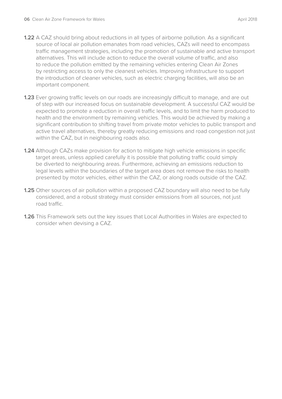- **1.22** A CAZ should bring about reductions in all types of airborne pollution. As a significant source of local air pollution emanates from road vehicles, CAZs will need to encompass traffic management strategies, including the promotion of sustainable and active transport alternatives. This will include action to reduce the overall volume of traffic, and also to reduce the pollution emitted by the remaining vehicles entering Clean Air Zones by restricting access to only the cleanest vehicles. Improving infrastructure to support the introduction of cleaner vehicles, such as electric charging facilities, will also be an important component.
- **1.23** Ever growing traffic levels on our roads are increasingly difficult to manage, and are out of step with our increased focus on sustainable development. A successful CAZ would be expected to promote a reduction in overall traffic levels, and to limit the harm produced to health and the environment by remaining vehicles. This would be achieved by making a significant contribution to shifting travel from private motor vehicles to public transport and active travel alternatives, thereby greatly reducing emissions and road congestion not just within the CAZ, but in neighbouring roads also.
- **1.24** Although CAZs make provision for action to mitigate high vehicle emissions in specific target areas, unless applied carefully it is possible that polluting traffic could simply be diverted to neighbouring areas. Furthermore, achieving an emissions reduction to legal levels within the boundaries of the target area does not remove the risks to health presented by motor vehicles, either within the CAZ, or along roads outside of the CAZ.
- **1.25** Other sources of air pollution within a proposed CAZ boundary will also need to be fully considered, and a robust strategy must consider emissions from all sources, not just road traffic.
- **1.26** This Framework sets out the key issues that Local Authorities in Wales are expected to consider when devising a CAZ.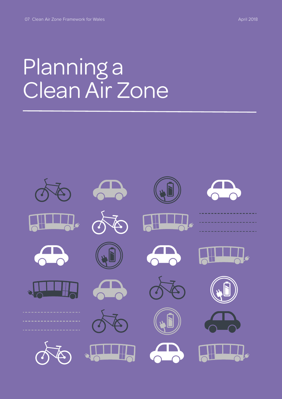## Planning a Clean Air Zone

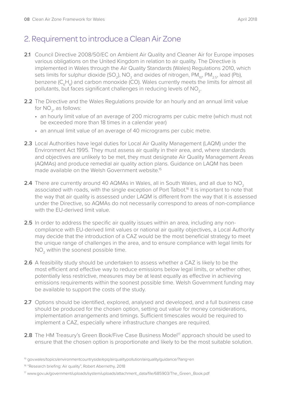## 2. Requirement to introduce a Clean Air Zone

- 2.1 Council Directive 2008/50/EC on Ambient Air Quality and Cleaner Air for Europe imposes various obligations on the United Kingdom in relation to air quality. The Directive is implemented in Wales through the Air Quality Standards (Wales) Regulations 2010, which sets limits for sulphur dioxide (SO<sub>2</sub>), NO<sub>2</sub> and oxides of nitrogen, PM<sub>10</sub>, PM<sub>2.5</sub>, lead (Pb), benzene (C<sub>c</sub>H<sub>c</sub>) and carbon monoxide (CO). Wales currently meets the limits for almost all pollutants, but faces significant challenges in reducing levels of NO<sub>2</sub>.
- **2.2** The Directive and the Wales Regulations provide for an hourly and an annual limit value for  $NO_2$ , as follows:
	- an hourly limit value of an average of 200 micrograms per cubic metre (which must not be exceeded more than 18 times in a calendar year)
	- an annual limit value of an average of 40 micrograms per cubic metre.
- **2.3** Local Authorities have legal duties for Local Air Quality Management (LAQM) under the Environment Act 1995. They must assess air quality in their area, and, where standards and objectives are unlikely to be met, they must designate Air Quality Management Areas (AQMAs) and produce remedial air quality action plans. Guidance on LAQM has been made available on the Welsh Government website<sup>15</sup>
- **2.4** There are currently around 40 AQMAs in Wales, all in South Wales, and all due to NO<sub>2</sub> associated with roads, with the single exception of Port Talbot.<sup>16</sup> It is important to note that the way that air quality is assessed under LAQM is different from the way that it is assessed under the Directive, so AQMAs do not necessarily correspond to areas of non-compliance with the EU-derived limit value.
- **2.5** In order to address the specific air quality issues within an area, including any noncompliance with EU-derived limit values or national air quality objectives, a Local Authority may decide that the introduction of a CAZ would be the most beneficial strategy to meet the unique range of challenges in the area, and to ensure compliance with legal limits for NO<sub>2</sub> within the soonest possible time.
- **2.6** A feasibility study should be undertaken to assess whether a CAZ is likely to be the most efficient and effective way to reduce emissions below legal limits, or whether other, potentially less restrictive, measures may be at least equally as effective in achieving emissions requirements within the soonest possible time. Welsh Government funding may be available to support the costs of the study.
- **2.7** Options should be identified, explored, analysed and developed, and a full business case should be produced for the chosen option, setting out value for money considerations, implementation arrangements and timings. Sufficient timescales would be required to implement a CAZ, especially where infrastructure changes are required.
- **2.8** The HM Treasury's Green Book/Five Case Business Model<sup>17</sup> approach should be used to ensure that the chosen option is proportionate and likely to be the most suitable solution.

<sup>15</sup> [gov.wales/topics/environmentcountryside/epq/airqualitypollution/airquality/guidance/?lang=en](http://gov.wales/topics/environmentcountryside/epq/airqualitypollution/airquality/guidance/?lang=en)

<sup>&</sup>lt;sup>16</sup> "Research briefing: Air quality", Robert Abernethy, 2018

<sup>17</sup> [www.gov.uk/government/uploads/system/uploads/attachment\\_data/file/685903/The\\_Green\\_Book.pdf](http://www.gov.uk/government/uploads/system/uploads/attachment_data/file/685903/The_Green_Book.pdf)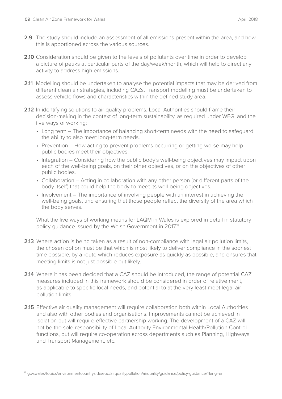- **2.9** The study should include an assessment of all emissions present within the area, and how this is apportioned across the various sources.
- **2.10** Consideration should be given to the levels of pollutants over time in order to develop a picture of peaks at particular parts of the day/week/month, which will help to direct any activity to address high emissions.
- **2.11** Modelling should be undertaken to analyse the potential impacts that may be derived from different clean air strategies, including CAZs. Transport modelling must be undertaken to assess vehicle flows and characteristics within the defined study area.
- **2.12** In identifying solutions to air quality problems, Local Authorities should frame their decision-making in the context of long-term sustainability, as required under WFG, and the five ways of working:
	- Long term The importance of balancing short-term needs with the need to safeguard the ability to also meet long-term needs.
	- Prevention How acting to prevent problems occurring or getting worse may help public bodies meet their objectives.
	- Integration Considering how the public body's well-being objectives may impact upon each of the well-being goals, on their other objectives, or on the objectives of other public bodies.
	- Collaboration Acting in collaboration with any other person (or different parts of the body itself) that could help the body to meet its well-being objectives.
	- Involvement The importance of involving people with an interest in achieving the well-being goals, and ensuring that those people reflect the diversity of the area which the body serves.

What the five ways of working means for LAQM in Wales is explored in detail in statutory policy guidance issued by the Welsh Government in 2017.<sup>18</sup>

- **2.13** Where action is being taken as a result of non-compliance with legal air pollution limits, the chosen option must be that which is most likely to deliver compliance in the soonest time possible, by a route which reduces exposure as quickly as possible, and ensures that meeting limits is not just possible but likely.
- **2.14** Where it has been decided that a CAZ should be introduced, the range of potential CAZ measures included in this framework should be considered in order of relative merit, as applicable to specific local needs, and potential to at the very least meet legal air pollution limits.
- **2.15** Effective air quality management will require collaboration both within Local Authorities and also with other bodies and organisations. Improvements cannot be achieved in isolation but will require effective partnership working. The development of a CAZ will not be the sole responsibility of Local Authority Environmental Health/Pollution Control functions, but will require co-operation across departments such as Planning, Highways and Transport Management, etc.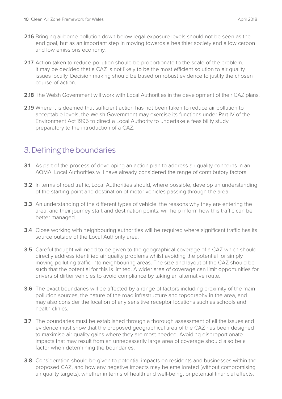- **2.16** Bringing airborne pollution down below legal exposure levels should not be seen as the end goal, but as an important step in moving towards a healthier society and a low carbon and low emissions economy.
- **2.17** Action taken to reduce pollution should be proportionate to the scale of the problem. It may be decided that a CAZ is not likely to be the most efficient solution to air quality issues locally. Decision making should be based on robust evidence to justify the chosen course of action.
- 2.18 The Welsh Government will work with Local Authorities in the development of their CAZ plans.
- **2.19** Where it is deemed that sufficient action has not been taken to reduce air pollution to acceptable levels, the Welsh Government may exercise its functions under Part IV of the Environment Act 1995 to direct a Local Authority to undertake a feasibility study preparatory to the introduction of a CAZ.

## 3. Defining the boundaries

- **3.1** As part of the process of developing an action plan to address air quality concerns in an AQMA, Local Authorities will have already considered the range of contributory factors.
- **3.2** In terms of road traffic, Local Authorities should, where possible, develop an understanding of the starting point and destination of motor vehicles passing through the area.
- **3.3** An understanding of the different types of vehicle, the reasons why they are entering the area, and their journey start and destination points, will help inform how this traffic can be better managed.
- **3.4** Close working with neighbouring authorities will be required where significant traffic has its source outside of the Local Authority area.
- **3.5** Careful thought will need to be given to the geographical coverage of a CAZ which should directly address identified air quality problems whilst avoiding the potential for simply moving polluting traffic into neighbouring areas. The size and layout of the CAZ should be such that the potential for this is limited. A wider area of coverage can limit opportunities for drivers of dirtier vehicles to avoid compliance by taking an alternative route.
- **3.6** The exact boundaries will be affected by a range of factors including proximity of the main pollution sources, the nature of the road infrastructure and topography in the area, and may also consider the location of any sensitive receptor locations such as schools and health clinics.
- **3.7** The boundaries must be established through a thorough assessment of all the issues and evidence must show that the proposed geographical area of the CAZ has been designed to maximise air quality gains where they are most needed. Avoiding disproportionate impacts that may result from an unnecessarily large area of coverage should also be a factor when determining the boundaries.
- **3.8** Consideration should be given to potential impacts on residents and businesses within the proposed CAZ, and how any negative impacts may be ameliorated (without compromising air quality targets), whether in terms of health and well-being, or potential financial effects.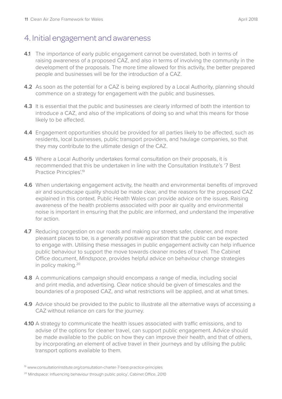## 4. Initial engagement and awareness

- **4.1** The importance of early public engagement cannot be overstated, both in terms of raising awareness of a proposed CAZ, and also in terms of involving the community in the development of the proposals. The more time allowed for this activity, the better prepared people and businesses will be for the introduction of a CAZ.
- **4.2** As soon as the potential for a CAZ is being explored by a Local Authority, planning should commence on a strategy for engagement with the public and businesses.
- **4.3** It is essential that the public and businesses are clearly informed of both the intention to introduce a CAZ, and also of the implications of doing so and what this means for those likely to be affected.
- **4.4** Engagement opportunities should be provided for all parties likely to be affected, such as residents, local businesses, public transport providers, and haulage companies, so that they may contribute to the ultimate design of the CAZ.
- **4.5** Where a Local Authority undertakes formal consultation on their proposals, it is recommended that this be undertaken in line with the Consultation Institute's '7 Best Practice Principles'.19
- **4.6** When undertaking engagement activity, the health and environmental benefits of improved air and soundscape quality should be made clear, and the reasons for the proposed CAZ explained in this context. Public Health Wales can provide advice on the issues. Raising awareness of the health problems associated with poor air quality and environmental noise is important in ensuring that the public are informed, and understand the imperative for action.
- **4.7** Reducing congestion on our roads and making our streets safer, cleaner, and more pleasant places to be, is a generally positive aspiration that the public can be expected to engage with. Utilising these messages in public engagement activity can help influence public behaviour to support the move towards cleaner modes of travel. The Cabinet Office document, *Mindspace*, provides helpful advice on behaviour change strategies in policy making.20
- **4.8** A communications campaign should encompass a range of media, including social and print media, and advertising. Clear notice should be given of timescales and the boundaries of a proposed CAZ, and what restrictions will be applied, and at what times.
- **4.9** Advice should be provided to the public to illustrate all the alternative ways of accessing a CAZ without reliance on cars for the journey.
- **4.10** A strategy to communicate the health issues associated with traffic emissions, and to advise of the options for cleaner travel, can support public engagement. Advice should be made available to the public on how they can improve their health, and that of others, by incorporating an element of active travel in their journeys and by utilising the public transport options available to them.

<sup>&</sup>lt;sup>19</sup> [www.consultationinstitute.org/consultation-charter-7-best-practice-principles](http://www.consultationinstitute.org/consultation-charter-7-best-practice-principles)

<sup>&</sup>lt;sup>20</sup> Mindspace: Influencing behaviour through public policy', Cabinet Office, 2010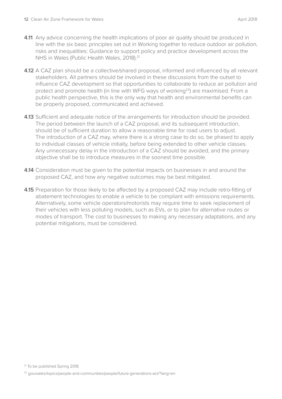- **4.11** Any advice concerning the health implications of poor air quality should be produced in line with the six basic principles set out in Working together to reduce outdoor air pollution, risks and inequalities: Guidance to support policy and practice development across the NHS in Wales (Public Health Wales, 2018).<sup>21</sup>
- **4.12** A CAZ plan should be a collective/shared proposal, informed and influenced by all relevant stakeholders. All partners should be involved in these discussions from the outset to influence CAZ development so that opportunities to collaborate to reduce air pollution and protect and promote health (in line with WFG ways of working<sup>22</sup>) are maximised. From a public health perspective, this is the only way that health and environmental benefits can be properly proposed, communicated and achieved.
- **4.13** Sufficient and adequate notice of the arrangements for introduction should be provided. The period between the launch of a CAZ proposal, and its subsequent introduction, should be of sufficient duration to allow a reasonable time for road users to adjust. The introduction of a CAZ may, where there is a strong case to do so, be phased to apply to individual classes of vehicle initially, before being extended to other vehicle classes. Any unnecessary delay in the introduction of a CAZ should be avoided, and the primary objective shall be to introduce measures in the soonest time possible.
- **4.14** Consideration must be given to the potential impacts on businesses in and around the proposed CAZ, and how any negative outcomes may be best mitigated.
- **4.15** Preparation for those likely to be affected by a proposed CAZ may include retro-fitting of abatement technologies to enable a vehicle to be compliant with emissions requirements. Alternatively, some vehicle operators/motorists may require time to seek replacement of their vehicles with less polluting models, such as EVs, or to plan for alternative routes or modes of transport. The cost to businesses to making any necessary adaptations, and any potential mitigations, must be considered.

<sup>&</sup>lt;sup>21</sup> To be published Spring 2018

<sup>22</sup> [gov.wales/topics/people-and-communities/people/future-generations-act/?lang=en](http://gov.wales/topics/people-and-communities/people/future-generations-act/?lang=en)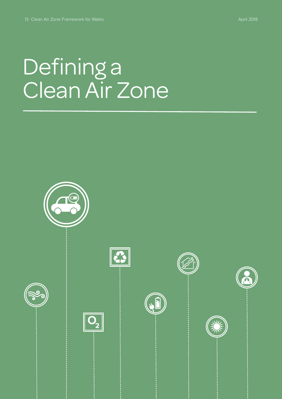# Defining a Clean Air Zone

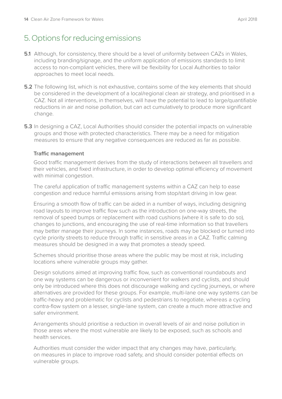## 5. Options for reducing emissions

- **5.1** Although, for consistency, there should be a level of uniformity between CAZs in Wales, including branding/signage, and the uniform application of emissions standards to limit access to non-compliant vehicles, there will be flexibility for Local Authorities to tailor approaches to meet local needs.
- **5.2** The following list, which is not exhaustive, contains some of the key elements that should be considered in the development of a local/regional clean air strategy, and prioritised in a CAZ. Not all interventions, in themselves, will have the potential to lead to large/quantifiable reductions in air and noise pollution, but can act cumulatively to produce more significant change.
- **5.3** In designing a CAZ, Local Authorities should consider the potential impacts on vulnerable groups and those with protected characteristics. There may be a need for mitigation measures to ensure that any negative consequences are reduced as far as possible.

#### **Traffic management**

Good traffic management derives from the study of interactions between all travellers and their vehicles, and fixed infrastructure, in order to develop optimal efficiency of movement with minimal congestion.

The careful application of traffic management systems within a CAZ can help to ease congestion and reduce harmful emissions arising from stop/start driving in low gear.

Ensuring a smooth flow of traffic can be aided in a number of ways, including designing road layouts to improve traffic flow such as the introduction on one-way streets, the removal of speed bumps or replacement with road cushions (where it is safe to do so), changes to junctions, and encouraging the use of real-time information so that travellers may better manage their journeys. In some instances, roads may be blocked or turned into cycle priority streets to reduce through traffic in sensitive areas in a CAZ. Traffic calming measures should be designed in a way that promotes a steady speed.

Schemes should prioritise those areas where the public may be most at risk, including locations where vulnerable groups may gather.

Design solutions aimed at improving traffic flow, such as conventional roundabouts and one way systems can be dangerous or inconvenient for walkers and cyclists, and should only be introduced where this does not discourage walking and cycling journeys, or where alternatives are provided for these groups. For example, multi-lane one way systems can be traffic-heavy and problematic for cyclists and pedestrians to negotiate, whereas a cycling contra-flow system on a lesser, single-lane system, can create a much more attractive and safer environment.

Arrangements should prioritise a reduction in overall levels of air and noise pollution in those areas where the most vulnerable are likely to be exposed, such as schools and health services.

Authorities must consider the wider impact that any changes may have, particularly, on measures in place to improve road safety, and should consider potential effects on vulnerable groups.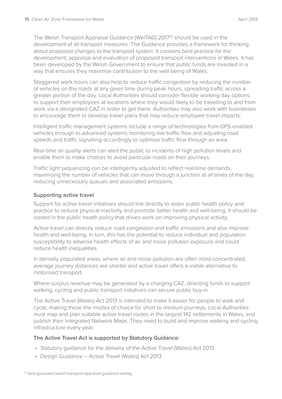The Welsh Transport Appraisal Guidance (WelTAG) 201723 should be used in the development of all transport measures. The Guidance provides a framework for thinking about proposed changes to the transport system. It contains best practice for the development, appraisal and evaluation of proposed transport interventions in Wales. It has been developed by the Welsh Government to ensure that public funds are invested in a way that ensures they maximise contribution to the well-being of Wales.

Staggered work hours can also help to reduce traffic congestion by reducing the number of vehicles on the roads at any given time during peak hours, spreading traffic across a greater portion of the day. Local Authorities should consider flexible working day options to support their employees at locations where they would likely to be travelling to and from work via a designated CAZ in order to get there. Authorities may also work with businesses to encourage them to develop travel plans that may reduce employee travel impacts.

Intelligent traffic management systems include a range of technologies from GPS-enabled vehicles through to advanced systems monitoring live traffic flow and adjusting road speeds and traffic signalling accordingly to optimise traffic flow through an area.

Real-time air quality alerts can alert the public to incidents of high pollution levels and enable them to make choices to avoid particular roads on their journeys.

Traffic light sequencing can be intelligently adjusted to reflect real-time demands, maximising the number of vehicles that can move through a junction at all times of the day, reducing unnecessary queues and associated emissions.

#### **Supporting active travel**

Support for active travel initiatives should link directly to wider public health policy and practice to reduce physical inactivity and promote better health and well-being. It should be rooted in the public health policy that drives work on improving physical activity.

Active travel can directly reduce road congestion and traffic emissions and also improve health and well-being. In turn, this has the potential to reduce individual and population susceptibility to adverse health effects of air and noise pollution exposure and could reduce health inequalities.

In densely populated areas, where air and noise pollution are often most concentrated, average journey distances are shorter and active travel offers a viable alternative to motorised transport.

Where surplus revenue may be generated by a charging CAZ, directing funds to support walking, cycling and public transport initiatives can secure public buy-in.

The Active Travel (Wales) Act 2013 is intended to make it easier for people to walk and cycle, making these the modes of choice for short to medium journeys. Local Authorities must map and plan suitable active travel routes in the largest 142 settlements in Wales, and publish their Integrated Network Maps. They need to build and improve walking and cycling infrastructure every year.

#### **The Active Travel Act is supported by Statutory Guidance:**

- Statutory guidance for the delivery of the Active Travel (Wales) Act 2013
- Design Guidance Active Travel (Wales) Act 2013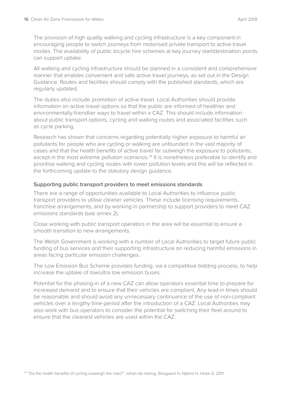The provision of high quality walking and cycling infrastructure is a key component in encouraging people to switch journeys from motorised private transport to active travel modes. The availability of public bicycle hire schemes at key journey start/destination points can support uptake.

All walking and cycling infrastructure should be planned in a consistent and comprehensive manner that enables convenient and safe active travel journeys, as set out in the Design Guidance. Routes and facilities should comply with the published standards, which are regularly updated.

The duties also include promotion of active travel. Local Authorities should provide information on active travel options so that the public are informed of healthier and environmentally-friendlier ways to travel within a CAZ. This should include information about public transport options, cycling and walking routes and associated facilities such as cycle parking.

Research has shown that concerns regarding potentially higher exposure to harmful air pollutants for people who are cycling or walking are unfounded in the vast majority of cases and that the health benefits of active travel far outweigh the exposure to pollutants, except in the most extreme pollution scenarios.<sup>24</sup> It is nonetheless preferable to identify and prioritise walking and cycling routes with lower pollution levels and this will be reflected in the forthcoming update to the statutory design guidance.

#### **Supporting public transport providers to meet emissions standards**

There are a range of opportunities available to Local Authorities to influence public transport providers to utilise cleaner vehicles. These include licensing requirements, franchise arrangements, and by working in partnership to support providers to meet CAZ emissions standards (see annex 2).

Close working with public transport operators in the area will be essential to ensure a smooth transition to new arrangements.

The Welsh Government is working with a number of Local Authorities to target future public funding of bus services and their supporting infrastructure on reducing harmful emissions in areas facing particular emission challenges.

The Low Emission Bus Scheme provides funding, via a competitive bidding process, to help increase the uptake of low/ultra low emission buses.

Potential for the phasing-in of a new CAZ can allow operators essential time to prepare for increased demand and to ensure that their vehicles are compliant. Any lead-in times should be reasonable and should avoid any unnecessary continuance of the use of non-compliant vehicles over a lengthy time-period after the introduction of a CAZ. Local Authorities may also work with bus operators to consider the potential for switching their fleet around to ensure that the cleanest vehicles are used within the CAZ.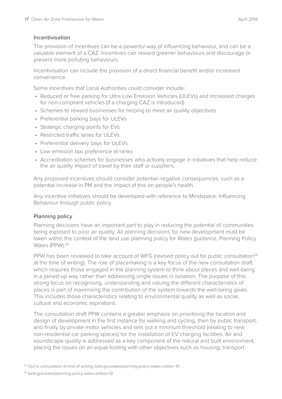#### **Incentivisation**

The provision of incentives can be a powerful way of influencing behaviour, and can be a valuable element of a CAZ. Incentives can reward greener behaviours and discourage or prevent more polluting behaviours.

Incentivisation can include the provision of a direct financial benefit and/or increased convenience.

Some incentives that Local Authorities could consider include:

- Reduced or free parking for Ultra Low Emission Vehicles (ULEVs) and increased charges for non-compliant vehicles (if a charging CAZ is introduced)
- Schemes to reward businesses for helping to meet air quality objectives
- Preferential parking bays for ULEVs
- Strategic charging points for EVs
- Restricted traffic lanes for ULEVs
- Preferential delivery bays for ULEVs
- Low emission taxi preference at ranks
- Accreditation schemes for businesses who actively engage in initiatives that help reduce the air quality impact of travel by their staff or suppliers.

Any proposed incentives should consider potential negative consequences, such as a potential increase in PM and the impact of this on people's health.

Any incentive initiatives should be developed with reference to Mindspace: Influencing Behaviour through public policy.

#### **Planning policy**

Planning decisions have an important part to play in reducing the potential of communities being exposed to poor air quality. All planning decisions for new development must be taken within the context of the land use planning policy for Wales guidance, Planning Policy Wales (PPW).<sup>25</sup>

PPW has been reviewed to take account of WFG (revised policy out for public consultation<sup>26</sup> at the time of writing). The role of placemaking is a key focus of the new consultation draft, which requires those engaged in the planning system to think about places and well-being in a joined-up way rather than addressing single issues in isolation. The purpose of this strong focus on recognising, understanding and valuing the different characteristics of places is part of maximising the contribution of the system towards the well-being goals. This includes those characteristics relating to environmental quality as well as social, cultural and economic aspirations.

The consultation draft PPW contains a greater emphasis on prioritising the location and design of development in the first instance for walking and cycling, then by public transport, and finally by private motor vehicles and sets out a minimum threshold (relating to new non-residential car parking spaces) for the installation of EV charging facilities. Air and soundscape quality is addressed as a key component of the natural and built environment, placing the issues on an equal footing with other objectives such as housing, transport

<sup>&</sup>lt;sup>25</sup> Out to consultation at time of writing; [beta.gov.wales/planning-policy-wales-edition-10](http://beta.gov.wales/planning-policy-wales-edition-10)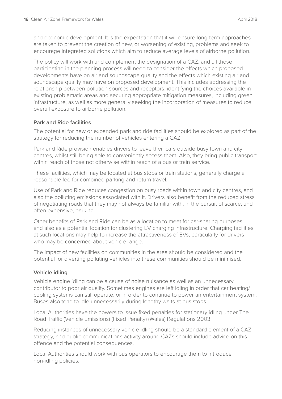and economic development. It is the expectation that it will ensure long-term approaches are taken to prevent the creation of new, or worsening of existing, problems and seek to encourage integrated solutions which aim to reduce average levels of airborne pollution.

The policy will work with and complement the designation of a CAZ, and all those participating in the planning process will need to consider the effects which proposed developments have on air and soundscape quality and the effects which existing air and soundscape quality may have on proposed development. This includes addressing the relationship between pollution sources and receptors, identifying the choices available in existing problematic areas and securing appropriate mitigation measures, including green infrastructure, as well as more generally seeking the incorporation of measures to reduce overall exposure to airborne pollution.

#### **Park and Ride facilities**

The potential for new or expanded park and ride facilities should be explored as part of the strategy for reducing the number of vehicles entering a CAZ.

Park and Ride provision enables drivers to leave their cars outside busy town and city centres, whilst still being able to conveniently access them. Also, they bring public transport within reach of those not otherwise within reach of a bus or train service.

These facilities, which may be located at bus stops or train stations, generally charge a reasonable fee for combined parking and return travel.

Use of Park and Ride reduces congestion on busy roads within town and city centres, and also the polluting emissions associated with it. Drivers also benefit from the reduced stress of negotiating roads that they may not always be familiar with, in the pursuit of scarce, and often expensive, parking.

Other benefits of Park and Ride can be as a location to meet for car-sharing purposes, and also as a potential location for clustering EV charging infrastructure. Charging facilities at such locations may help to increase the attractiveness of EVs, particularly for drivers who may be concerned about vehicle range.

The impact of new facilities on communities in the area should be considered and the potential for diverting polluting vehicles into these communities should be minimised.

#### **Vehicle idling**

Vehicle engine idling can be a cause of noise nuisance as well as an unnecessary contributor to poor air quality. Sometimes engines are left idling in order that car heating/ cooling systems can still operate, or in order to continue to power an entertainment system. Buses also tend to idle unnecessarily during lengthy waits at bus stops.

Local Authorities have the powers to issue fixed penalties for stationary idling under The Road Traffic (Vehicle Emissions) (Fixed Penalty) (Wales) Regulations 2003.

Reducing instances of unnecessary vehicle idling should be a standard element of a CAZ strategy, and public communications activity around CAZs should include advice on this offence and the potential consequences.

Local Authorities should work with bus operators to encourage them to introduce non-idling policies.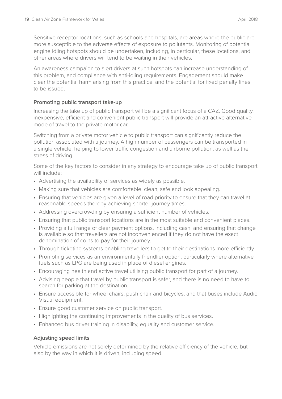Sensitive receptor locations, such as schools and hospitals, are areas where the public are more susceptible to the adverse effects of exposure to pollutants. Monitoring of potential engine idling hotspots should be undertaken, including, in particular, these locations, and other areas where drivers will tend to be waiting in their vehicles.

An awareness campaign to alert drivers at such hotspots can increase understanding of this problem, and compliance with anti-idling requirements. Engagement should make clear the potential harm arising from this practice, and the potential for fixed penalty fines to be issued.

#### **Promoting public transport take-up**

Increasing the take up of public transport will be a significant focus of a CAZ. Good quality, inexpensive, efficient and convenient public transport will provide an attractive alternative mode of travel to the private motor car.

Switching from a private motor vehicle to public transport can significantly reduce the pollution associated with a journey. A high number of passengers can be transported in a single vehicle, helping to lower traffic congestion and airborne pollution, as well as the stress of driving.

Some of the key factors to consider in any strategy to encourage take up of public transport will include:

- Advertising the availability of services as widely as possible.
- Making sure that vehicles are comfortable, clean, safe and look appealing.
- Ensuring that vehicles are given a level of road priority to ensure that they can travel at reasonable speeds thereby achieving shorter journey times.
- Addressing overcrowding by ensuring a sufficient number of vehicles.
- Ensuring that public transport locations are in the most suitable and convenient places.
- Providing a full range of clear payment options, including cash, and ensuring that change is available so that travellers are not inconvenienced if they do not have the exact denomination of coins to pay for their journey.
- Through ticketing systems enabling travellers to get to their destinations more efficiently.
- Promoting services as an environmentally friendlier option, particularly where alternative fuels such as LPG are being used in place of diesel engines.
- Encouraging health and active travel utilising public transport for part of a journey.
- Advising people that travel by public transport is safer, and there is no need to have to search for parking at the destination.
- Ensure accessible for wheel chairs, push chair and bicycles, and that buses include Audio Visual equipment.
- Ensure good customer service on public transport.
- Highlighting the continuing improvements in the quality of bus services.
- Enhanced bus driver training in disability, equality and customer service.

#### **Adjusting speed limits**

Vehicle emissions are not solely determined by the relative efficiency of the vehicle, but also by the way in which it is driven, including speed.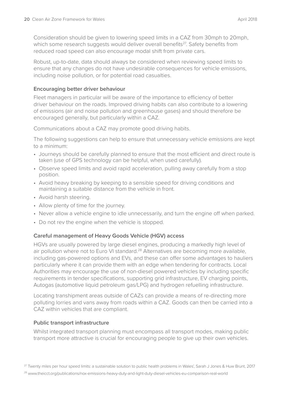Consideration should be given to lowering speed limits in a CAZ from 30mph to 20mph, which some research suggests would deliver overall benefits<sup>27</sup>. Safety benefits from reduced road speed can also encourage modal shift from private cars.

Robust, up-to-date, data should always be considered when reviewing speed limits to ensure that any changes do not have undesirable consequences for vehicle emissions, including noise pollution, or for potential road casualties.

#### **Encouraging better driver behaviour**

Fleet managers in particular will be aware of the importance to efficiency of better driver behaviour on the roads. Improved driving habits can also contribute to a lowering of emissions (air and noise pollution and greenhouse gases) and should therefore be encouraged generally, but particularly within a CAZ.

Communications about a CAZ may promote good driving habits.

The following suggestions can help to ensure that unnecessary vehicle emissions are kept to a minimum:

- Journeys should be carefully planned to ensure that the most efficient and direct route is taken (use of GPS technology can be helpful, when used carefully).
- Observe speed limits and avoid rapid acceleration, pulling away carefully from a stop position.
- Avoid heavy breaking by keeping to a sensible speed for driving conditions and maintaining a suitable distance from the vehicle in front.
- Avoid harsh steering.
- Allow plenty of time for the journey.
- Never allow a vehicle engine to idle unnecessarily, and turn the engine off when parked.
- Do not rev the engine when the vehicle is stopped.

#### **Careful management of Heavy Goods Vehicle (HGV) access**

HGVs are usually powered by large diesel engines, producing a markedly high level of air pollution where not to Euro VI standard.<sup>28</sup> Alternatives are becoming more available, including gas-powered options and EVs, and these can offer some advantages to hauliers particularly where it can provide them with an edge when tendering for contracts. Local Authorities may encourage the use of non-diesel powered vehicles by including specific requirements in tender specifications, supporting grid infrastructure, EV charging points, Autogas (automotive liquid petroleum gas/LPG) and hydrogen refuelling infrastructure.

Locating transhipment areas outside of CAZs can provide a means of re-directing more polluting lorries and vans away from roads within a CAZ. Goods can then be carried into a CAZ within vehicles that are compliant.

#### **Public transport infrastructure**

Whilst integrated transport planning must encompass all transport modes, making public transport more attractive is crucial for encouraging people to give up their own vehicles.

<sup>28</sup> [www.theicct.org/publications/nox-emissions-heavy-duty-and-light-duty-diesel-vehicles-eu-comparison-real-world](http://www.theicct.org/publications/nox-emissions-heavy-duty-and-light-duty-diesel-vehicles-eu-comparison-r)

<sup>&</sup>lt;sup>27</sup> Twenty miles per hour speed limits: a sustainable solution to public health problems in Wales', Sarah J Jones & Huw Brunt, 2017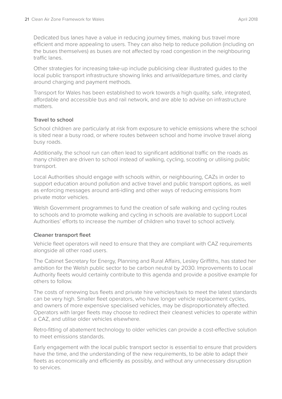Dedicated bus lanes have a value in reducing journey times, making bus travel more efficient and more appealing to users. They can also help to reduce pollution (including on the buses themselves) as buses are not affected by road congestion in the neighbouring traffic lanes.

Other strategies for increasing take-up include publicising clear illustrated guides to the local public transport infrastructure showing links and arrival/departure times, and clarity around charging and payment methods.

Transport for Wales has been established to work towards a high quality, safe, integrated, affordable and accessible bus and rail network, and are able to advise on infrastructure matters.

#### **Travel to school**

School children are particularly at risk from exposure to vehicle emissions where the school is sited near a busy road, or where routes between school and home involve travel along busy roads.

Additionally, the school run can often lead to significant additional traffic on the roads as many children are driven to school instead of walking, cycling, scooting or utilising public transport.

Local Authorities should engage with schools within, or neighbouring, CAZs in order to support education around pollution and active travel and public transport options, as well as enforcing messages around anti-idling and other ways of reducing emissions from private motor vehicles.

Welsh Government programmes to fund the creation of safe walking and cycling routes to schools and to promote walking and cycling in schools are available to support Local Authorities' efforts to increase the number of children who travel to school actively.

#### **Cleaner transport fleet**

Vehicle fleet operators will need to ensure that they are compliant with CAZ requirements alongside all other road users.

The Cabinet Secretary for Energy, Planning and Rural Affairs, Lesley Griffiths, has stated her ambition for the Welsh public sector to be carbon neutral by 2030. Improvements to Local Authority fleets would certainly contribute to this agenda and provide a positive example for others to follow.

The costs of renewing bus fleets and private hire vehicles/taxis to meet the latest standards can be very high. Smaller fleet operators, who have longer vehicle replacement cycles, and owners of more expensive specialised vehicles, may be disproportionately affected. Operators with larger fleets may choose to redirect their cleanest vehicles to operate within a CAZ, and utilise older vehicles elsewhere.

Retro-fitting of abatement technology to older vehicles can provide a cost-effective solution to meet emissions standards.

Early engagement with the local public transport sector is essential to ensure that providers have the time, and the understanding of the new requirements, to be able to adapt their fleets as economically and efficiently as possibly, and without any unnecessary disruption to services.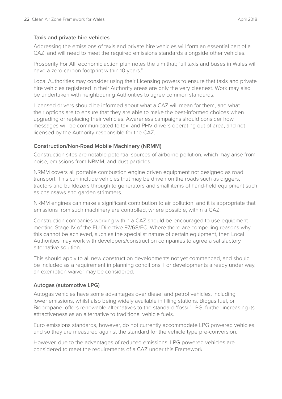#### **Taxis and private hire vehicles**

Addressing the emissions of taxis and private hire vehicles will form an essential part of a CAZ, and will need to meet the required emissions standards alongside other vehicles.

Prosperity For All: economic action plan notes the aim that; "all taxis and buses in Wales will have a zero carbon footprint within 10 years."

Local Authorities may consider using their Licensing powers to ensure that taxis and private hire vehicles registered in their Authority areas are only the very cleanest. Work may also be undertaken with neighbouring Authorities to agree common standards.

Licensed drivers should be informed about what a CAZ will mean for them, and what their options are to ensure that they are able to make the best-informed choices when upgrading or replacing their vehicles. Awareness campaigns should consider how messages will be communicated to taxi and PHV drivers operating out of area, and not licensed by the Authority responsible for the CAZ.

#### **Construction/Non-Road Mobile Machinery (NRMM)**

Construction sites are notable potential sources of airborne pollution, which may arise from noise, emissions from NRMM, and dust particles.

NRMM covers all portable combustion engine driven equipment not designed as road transport. This can include vehicles that may be driven on the roads such as diggers, tractors and bulldozers through to generators and small items of hand-held equipment such as chainsaws and garden strimmers.

NRMM engines can make a significant contribution to air pollution, and it is appropriate that emissions from such machinery are controlled, where possible, within a CAZ.

Construction companies working within a CAZ should be encouraged to use equipment meeting Stage IV of the EU Directive 97/68/EC. Where there are compelling reasons why this cannot be achieved, such as the specialist nature of certain equipment, then Local Authorities may work with developers/construction companies to agree a satisfactory alternative solution.

This should apply to all new construction developments not yet commenced, and should be included as a requirement in planning conditions. For developments already under way, an exemption waiver may be considered.

#### **Autogas (automotive LPG)**

Autogas vehicles have some advantages over diesel and petrol vehicles, including lower emissions, whilst also being widely available in filling stations. Biogas fuel, or Biopropane, offers renewable alternatives to the standard 'fossil' LPG, further increasing its attractiveness as an alternative to traditional vehicle fuels.

Euro emissions standards, however, do not currently accommodate LPG powered vehicles, and so they are measured against the standard for the vehicle type pre-conversion.

However, due to the advantages of reduced emissions, LPG powered vehicles are considered to meet the requirements of a CAZ under this Framework.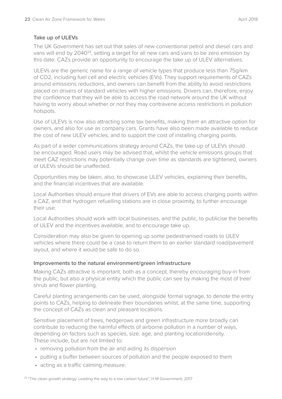#### **Take up of ULEVs**

The UK Government has set out that sales of new conventional petrol and diesel cars and vans will end by 204029, setting a target for all new cars and vans to be zero emission by this date. CAZs provide an opportunity to encourage the take up of ULEV alternatives.

ULEVs are the generic name for a range of vehicle types that produce less than 75g/km of CO2, including fuel cell and electric vehicles (EVs). They support requirements of CAZs around emissions reductions, and owners can benefit from the ability to avoid restrictions placed on drivers of standard vehicles with higher emissions. Drivers can, therefore, enjoy the confidence that they will be able to access the road network around the UK without having to worry about whether or not they may contravene access restrictions in pollution hotspots.

Use of ULEVs is now also attracting some tax benefits, making them an attractive option for owners, and also for use as company cars. Grants have also been made available to reduce the cost of new ULEV vehicles, and to support the cost of installing charging points.

As part of a wider communications strategy around CAZs, the take-up of ULEVs should be encouraged. Road users may be advised that, whilst the vehicle emissions groups that meet CAZ restrictions may potentially change over time as standards are tightened, owners of ULEVs should be unaffected.

Opportunities may be taken, also, to showcase ULEV vehicles, explaining their benefits, and the financial incentives that are available.

Local Authorities should ensure that drivers of EVs are able to access charging points within a CAZ, and that hydrogen refuelling stations are in close proximity, to further encourage their use.

Local Authorities should work with local businesses, and the public, to publicise the benefits of ULEV and the incentives available, and to encourage take up.

Consideration may also be given to opening up some pedestrianised roads to ULEV vehicles where there could be a case to return them to an earlier standard road/pavement layout, and where it would be safe to do so.

#### **Improvements to the natural environment/green infrastructure**

Making CAZs attractive is important, both as a concept, thereby encouraging buy-in from the public, but also a physical entity which the public can see by making the most of tree/ shrub and flower planting.

Careful planting arrangements can be used, alongside formal signage, to denote the entry points to CAZs, helping to delineate their boundaries whilst, at the same time, supporting the concept of CAZs as clean and pleasant locations.

Sensitive placement of trees, hedgerows and green infrastructure more broadly can contribute to reducing the harmful effects of airborne pollution in a number of ways, depending on factors such as species, size, age, and planting location/density. These include, but are not limited to:

- removing pollution from the air and aiding its dispersion
- putting a buffer between sources of pollution and the people exposed to them
- acting as a traffic calming measure.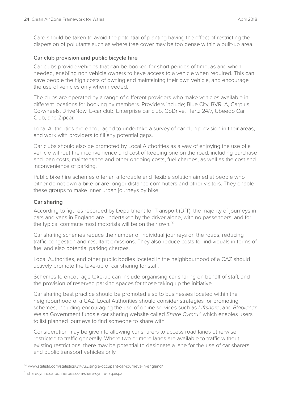Care should be taken to avoid the potential of planting having the effect of restricting the dispersion of pollutants such as where tree cover may be too dense within a built-up area.

#### **Car club provision and public bicycle hire**

Car clubs provide vehicles that can be booked for short periods of time, as and when needed, enabling non vehicle owners to have access to a vehicle when required. This can save people the high costs of owning and maintaining their own vehicle, and encourage the use of vehicles only when needed.

The clubs are operated by a range of different providers who make vehicles available in different locations for booking by members. Providers include; Blue City, BVRLA, Carplus, Co-wheels, DriveNow, E-car club, Enterprise car club, GoDrive, Hertz 24/7, Ubeeqo Car Club, and Zipcar.

Local Authorities are encouraged to undertake a survey of car club provision in their areas, and work with providers to fill any potential gaps.

Car clubs should also be promoted by Local Authorities as a way of enjoying the use of a vehicle without the inconvenience and cost of keeping one on the road, including purchase and loan costs, maintenance and other ongoing costs, fuel charges, as well as the cost and inconvenience of parking.

Public bike hire schemes offer an affordable and flexible solution aimed at people who either do not own a bike or are longer distance commuters and other visitors. They enable these groups to make inner urban journeys by bike.

#### **Car sharing**

According to figures recorded by Department for Transport (DfT), the majority of journeys in cars and vans in England are undertaken by the driver alone, with no passengers, and for the typical commute most motorists will be on their own.<sup>30</sup>

Car sharing schemes reduce the number of individual journeys on the roads, reducing traffic congestion and resultant emissions. They also reduce costs for individuals in terms of fuel and also potential parking charges.

Local Authorities, and other public bodies located in the neighbourhood of a CAZ should actively promote the take-up of car sharing for staff.

Schemes to encourage take-up can include organising car sharing on behalf of staff, and the provision of reserved parking spaces for those taking up the initiative.

Car sharing best practice should be promoted also to businesses located within the neighbourhood of a CAZ. Local Authorities should consider strategies for promoting schemes, including encouraging the use of online services such as *Liftshare*, and *Blablacar*. Welsh Government funds a car sharing website called *Share Cymru31* which enables users to list planned journeys to find someone to share with.

Consideration may be given to allowing car sharers to access road lanes otherwise restricted to traffic generally. Where two or more lanes are available to traffic without existing restrictions, there may be potential to designate a lane for the use of car sharers and public transport vehicles only.

<sup>31</sup> [sharecymru.carbonheroes.com/share-cymru-faq.aspx](http://sharecymru.carbonheroes.com/share-cymru-faq.aspx)

<sup>30</sup> [www.statista.com/statistics/314733/single-occupant-car-journeys-in-england/](http://www.statista.com/statistics/314733/single-occupant-car-journeys-in-england/)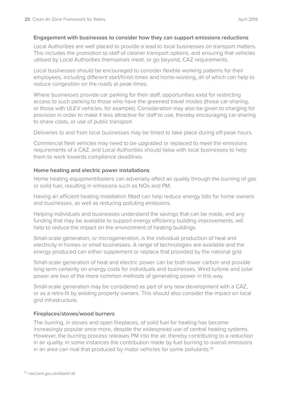#### **Engagement with businesses to consider how they can support emissions reductions**

Local Authorities are well placed to provide a lead to local businesses on transport matters. This includes the promotion to staff of cleaner transport options, and ensuring that vehicles utilised by Local Authorities themselves meet, or go beyond, CAZ requirements.

Local businesses should be encouraged to consider flexible working patterns for their employees, including different start/finish times and home-working, all of which can help to reduce congestion on the roads at peak times.

Where businesses provide car parking for their staff, opportunities exist for restricting access to such parking to those who have the greenest travel modes (those car-sharing, or those with ULEV vehicles, for example). Consideration may also be given to charging for provision in order to make it less attractive for staff to use, thereby encouraging car-sharing to share costs, or use of public transport.

Deliveries to and from local businesses may be timed to take place during off-peak hours.

Commercial fleet vehicles may need to be upgraded or replaced to meet the emissions requirements of a CAZ, and Local Authorities should liaise with local businesses to help them to work towards compliance deadlines.

#### **Home heating and electric power installations**

Home heating equipment/boilers can adversely affect air quality through the burning of gas or solid fuel, resulting in emissions such as NOx and PM.

Having an efficient heating installation fitted can help reduce energy bills for home owners and businesses, as well as reducing polluting emissions.

Helping individuals and businesses understand the savings that can be made, and any funding that may be available to support energy efficiency building improvements, will help to reduce the impact on the environment of heating buildings.

Small-scale generation, or microgeneration, is the individual production of heat and electricity in homes or small businesses. A range of technologies are available and the energy produced can either supplement or replace that provided by the national grid.

Small-scale generation of heat and electric power can be both lower carbon and provide long term certainty on energy costs for individuals and businesses. Wind turbine and solar power are two of the more common methods of generating power in this way.

Small-scale generation may be considered as part of any new development with a CAZ, or as a retro-fit by existing property owners. This should also consider the impact on local grid infrastructure.

#### **Fireplaces/stoves/wood burners**

The burning, in stoves and open fireplaces, of solid fuel for heating has become increasingly popular once more, despite the widespread use of central heating systems. However, the burning process releases PM into the air, thereby contributing to a reduction in air quality. In some instances the contribution made by fuel burning to overall emissions in an area can rival that produced by motor vehicles for some pollutants.<sup>32</sup>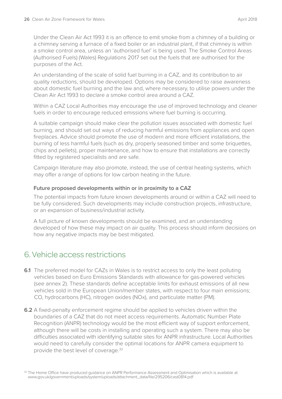Under the Clean Air Act 1993 it is an offence to emit smoke from a chimney of a building or a chimney serving a furnace of a fixed boiler or an industrial plant, if that chimney is within a smoke control area, unless an 'authorised fuel' is being used. The Smoke Control Areas (Authorised Fuels) (Wales) Regulations 2017 set out the fuels that are authorised for the purposes of the Act.

An understanding of the scale of solid fuel burning in a CAZ, and its contribution to air quality reductions, should be developed. Options may be considered to raise awareness about domestic fuel burning and the law and, where necessary, to utilise powers under the Clean Air Act 1993 to declare a smoke control area around a CAZ.

Within a CAZ Local Authorities may encourage the use of improved technology and cleaner fuels in order to encourage reduced emissions where fuel burning is occurring.

A suitable campaign should make clear the pollution issues associated with domestic fuel burning, and should set out ways of reducing harmful emissions from appliances and open fireplaces. Advice should promote the use of modern and more efficient installations, the burning of less harmful fuels (such as dry, properly seasoned timber and some briquettes, chips and pellets), proper maintenance, and how to ensure that installations are correctly fitted by registered specialists and are safe.

Campaign literature may also promote, instead, the use of central heating systems, which may offer a range of options for low carbon heating in the future.

#### **Future proposed developments within or in proximity to a CAZ**

The potential impacts from future known developments around or within a CAZ will need to be fully considered. Such developments may include construction projects, infrastructure, or an expansion of business/industrial activity.

A full picture of known developments should be examined, and an understanding developed of how these may impact on air quality. This process should inform decisions on how any negative impacts may be best mitigated.

### 6. Vehicle access restrictions

- **6.1** The preferred model for CAZs in Wales is to restrict access to only the least polluting vehicles based on Euro Emissions Standards with allowance for gas-powered vehicles (see annex 2). These standards define acceptable limits for exhaust emissions of all new vehicles sold in the European Union/member states, with respect to four main emissions; CO, hydrocarbons (HC), nitrogen oxides (NOx), and particulate matter (PM).
- **6.2** A fixed-penalty enforcement regime should be applied to vehicles driven within the boundaries of a CAZ that do not meet access requirements. Automatic Number Plate Recognition (ANPR) technology would be the most efficient way of support enforcement, although there will be costs in installing and operating such a system. There may also be difficulties associated with identifying suitable sites for ANPR infrastructure. Local Authorities would need to carefully consider the optimal locations for ANPR camera equipment to provide the best level of coverage.<sup>33</sup>

<sup>&</sup>lt;sup>33</sup> The Home Office have produced guidance on ANPR Performance Assessment and Optimisation which is available at [www.gov.uk/government/uploads/system/uploads/attachment\\_data/file/295206/cast0814.pdf](http://www.gov.uk/government/uploads/system/uploads/attachment_data/file/295206/cast0814.pdf)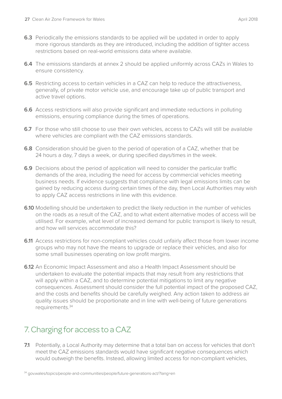- **6.3** Periodically the emissions standards to be applied will be updated in order to apply more rigorous standards as they are introduced, including the addition of tighter access restrictions based on real-world emissions data where available.
- **6.4** The emissions standards at annex 2 should be applied uniformly across CAZs in Wales to ensure consistency.
- **6.5** Restricting access to certain vehicles in a CAZ can help to reduce the attractiveness, generally, of private motor vehicle use, and encourage take up of public transport and active travel options.
- **6.6** Access restrictions will also provide significant and immediate reductions in polluting emissions, ensuring compliance during the times of operations.
- **6.7** For those who still choose to use their own vehicles, access to CAZs will still be available where vehicles are compliant with the CAZ emissions standards.
- **6.8** Consideration should be given to the period of operation of a CAZ, whether that be 24 hours a day, 7 days a week, or during specified days/times in the week.
- **6.9** Decisions about the period of application will need to consider the particular traffic demands of the area, including the need for access by commercial vehicles meeting business needs. If evidence suggests that compliance with legal emissions limits can be gained by reducing access during certain times of the day, then Local Authorities may wish to apply CAZ access restrictions in line with this evidence.
- **6.10** Modelling should be undertaken to predict the likely reduction in the number of vehicles on the roads as a result of the CAZ, and to what extent alternative modes of access will be utilised. For example, what level of increased demand for public transport is likely to result, and how will services accommodate this?
- **6.11** Access restrictions for non-compliant vehicles could unfairly affect those from lower income groups who may not have the means to upgrade or replace their vehicles, and also for some small businesses operating on low profit margins.
- **6.12** An Economic Impact Assessment and also a Health Impact Assessment should be undertaken to evaluate the potential impacts that may result from any restrictions that will apply within a CAZ, and to determine potential mitigations to limit any negative consequences. Assessment should consider the full potential impact of the proposed CAZ, and the costs and benefits should be carefully weighed. Any action taken to address air quality issues should be proportionate and in line with well-being of future generations requirements.34

## 7. Charging for access to a CAZ

**7.1** Potentially, a Local Authority may determine that a total ban on access for vehicles that don't meet the CAZ emissions standards would have significant negative consequences which would outweigh the benefits. Instead, allowing limited access for non-compliant vehicles,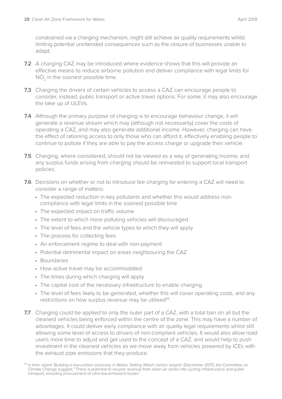constrained via a charging mechanism, might still achieve air quality requirements whilst limiting potential unintended consequences such as the closure of businesses unable to adapt.

- **7.2** A charging CAZ may be introduced where evidence shows that this will provide an effective means to reduce airborne pollution and deliver compliance with legal limits for NO<sub>2</sub> in the soonest possible time.
- **7.3** Charging the drivers of certain vehicles to access a CAZ can encourage people to consider, instead, public transport or active travel options. For some, it may also encourage the take up of ULEVs.
- **7.4** Although the primary purpose of charging is to encourage behaviour change, it will generate a revenue stream which may (although not necessarily) cover the costs of operating a CAZ, and may also generate additional income. However, charging can have the effect of rationing access to only those who can afford it, effectively enabling people to continue to pollute if they are able to pay the access charge or upgrade their vehicle.
- **7.5** Charging, where considered, should not be viewed as a way of generating income, and any surplus funds arising from charging should be reinvested to support local transport policies.
- **7.6** Decisions on whether or not to introduce fee charging for entering a CAZ will need to consider a range of matters:
	- The expected reduction in key pollutants and whether this would address noncompliance with legal limits in the soonest possible time
	- The expected impact on traffic volume
	- The extent to which more polluting vehicles will discouraged
	- The level of fees and the vehicle types to which they will apply
	- The process for collecting fees
	- An enforcement regime to deal with non-payment
	- Potential detrimental impact on areas neighbouring the CAZ
	- Boundaries
	- How active travel may be accommodated
	- The times during which charging will apply
	- The capital cost of the necessary infrastructure to enable charging
	- The level of fees likely to be generated, whether this will cover operating costs, and any restrictions on how surplus revenue may be utilised<sup>35</sup>.
- **7.7** Charging could be applied to only the outer part of a CAZ, with a total ban on all but the cleanest vehicles being enforced within the centre of the zone. This may have a number of advantages. It could deliver early compliance with air quality legal requirements whilst still allowing some level of access to drivers of non-compliant vehicles. It would also allow road users more time to adjust and get used to the concept of a CAZ, and would help to push investment in the cleanest vehicles as we move away from vehicles powered by ICEs with the exhaust pipe emissions that they produce.

<sup>35</sup> In their report '*Building a low-carbon economy in Wales: Setting Welsh carbon targets*' (December 2017), the Committee on Climate Change suggest; "There is potential to recycle revenue from clean-air zones into cycling infrastructure and public transport, including procurement of ultra-low-emissions buses."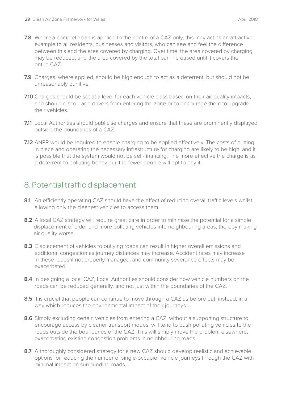- **7.8** Where a complete ban is applied to the centre of a CAZ only, this may act as an attractive example to all residents, businesses and visitors, who can see and feel the difference between this and the area covered by charging. Over time, the area covered by charging may be reduced, and the area covered by the total ban increased until it covers the entire CAZ.
- **7.9** Charges, where applied, should be high enough to act as a deterrent, but should not be unreasonably punitive.
- **7.10** Charges should be set at a level for each vehicle class based on their air quality impacts, and should discourage drivers from entering the zone or to encourage them to upgrade their vehicles.
- **7.11** Local Authorities should publicise charges and ensure that these are prominently displayed outside the boundaries of a CAZ.
- **7.12** ANPR would be required to enable charging to be applied effectively. The costs of putting in place and operating the necessary infrastructure for charging are likely to be high, and it is possible that the system would not be self-financing. The more effective the charge is as a deterrent to polluting behaviour, the fewer people will opt to pay it.

### 8. Potential traffic displacement

- **8.1** An efficiently operating CAZ should have the effect of reducing overall traffic levels whilst allowing only the cleanest vehicles to access them.
- **8.2** A local CAZ strategy will require great care in order to minimise the potential for a simple displacement of older and more polluting vehicles into neighbouring areas, thereby making air quality worse.
- 8.3 Displacement of vehicles to outlying roads can result in higher overall emissions and additional congestion as journey distances may increase. Accident rates may increase in these roads if not properly managed, and community severance effects may be exacerbated.
- **8.4** In designing a local CAZ, Local Authorities should consider how vehicle numbers on the roads can be reduced generally, and not just within the boundaries of the CAZ.
- **8.5** It is crucial that people can continue to move through a CAZ as before but, instead, in a way which reduces the environmental impact of their journeys.
- **8.6** Simply excluding certain vehicles from entering a CAZ, without a supporting structure to encourage access by cleaner transport modes, will tend to push polluting vehicles to the roads outside the boundaries of the CAZ. This will simply move the problem elsewhere, exacerbating existing congestion problems in neighbouring roads.
- **8.7** A thoroughly considered strategy for a new CAZ should develop realistic and achievable options for reducing the number of single-occupier vehicle journeys through the CAZ with minimal impact on surrounding roads.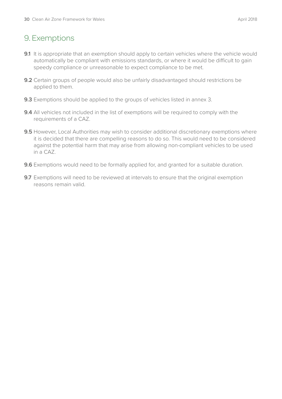## 9. Exemptions

- **9.1** It is appropriate that an exemption should apply to certain vehicles where the vehicle would automatically be compliant with emissions standards, or where it would be difficult to gain speedy compliance or unreasonable to expect compliance to be met.
- **9.2** Certain groups of people would also be unfairly disadvantaged should restrictions be applied to them.
- **9.3** Exemptions should be applied to the groups of vehicles listed in annex 3.
- **9.4** All vehicles not included in the list of exemptions will be required to comply with the requirements of a CAZ.
- **9.5** However, Local Authorities may wish to consider additional discretionary exemptions where it is decided that there are compelling reasons to do so. This would need to be considered against the potential harm that may arise from allowing non-compliant vehicles to be used in a CAZ.
- **9.6** Exemptions would need to be formally applied for, and granted for a suitable duration.
- **9.7** Exemptions will need to be reviewed at intervals to ensure that the original exemption reasons remain valid.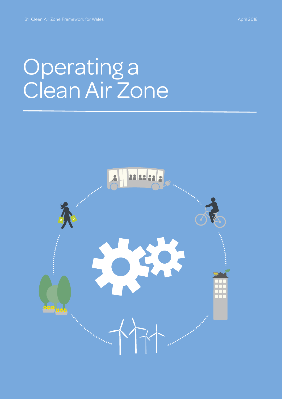# Operating a Clean Air Zone

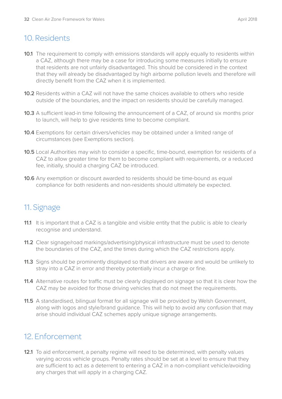## 10. Residents

- **10.1** The requirement to comply with emissions standards will apply equally to residents within a CAZ, although there may be a case for introducing some measures initially to ensure that residents are not unfairly disadvantaged. This should be considered in the context that they will already be disadvantaged by high airborne pollution levels and therefore will directly benefit from the CAZ when it is implemented.
- **10.2** Residents within a CAZ will not have the same choices available to others who reside outside of the boundaries, and the impact on residents should be carefully managed.
- **10.3** A sufficient lead-in time following the announcement of a CAZ, of around six months prior to launch, will help to give residents time to become compliant.
- **10.4** Exemptions for certain drivers/vehicles may be obtained under a limited range of circumstances (see Exemptions section).
- **10.5** Local Authorities may wish to consider a specific, time-bound, exemption for residents of a CAZ to allow greater time for them to become compliant with requirements, or a reduced fee, initially, should a charging CAZ be introduced.
- **10.6** Any exemption or discount awarded to residents should be time-bound as equal compliance for both residents and non-residents should ultimately be expected.

## 11. Signage

- **11.1** It is important that a CAZ is a tangible and visible entity that the public is able to clearly recognise and understand.
- **11.2** Clear signage/road markings/advertising/physical infrastructure must be used to denote the boundaries of the CAZ, and the times during which the CAZ restrictions apply.
- **11.3** Signs should be prominently displayed so that drivers are aware and would be unlikely to stray into a CAZ in error and thereby potentially incur a charge or fine.
- **11.4** Alternative routes for traffic must be clearly displayed on signage so that it is clear how the CAZ may be avoided for those driving vehicles that do not meet the requirements.
- **11.5** A standardised, bilingual format for all signage will be provided by Welsh Government, along with logos and style/brand guidance. This will help to avoid any confusion that may arise should individual CAZ schemes apply unique signage arrangements.

### 12. Enforcement

**12.1** To aid enforcement, a penalty regime will need to be determined, with penalty values varying across vehicle groups. Penalty rates should be set at a level to ensure that they are sufficient to act as a deterrent to entering a CAZ in a non-compliant vehicle/avoiding any charges that will apply in a charging CAZ.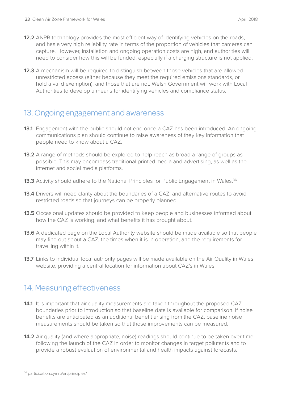**12.3** A mechanism will be required to distinguish between those vehicles that are allowed unrestricted access (either because they meet the required emissions standards, or hold a valid exemption), and those that are not. Welsh Government will work with Local Authorities to develop a means for identifying vehicles and compliance status.

## 13. Ongoing engagement and awareness

- **13.1** Engagement with the public should not end once a CAZ has been introduced. An ongoing communications plan should continue to raise awareness of they key information that people need to know about a CAZ.
- **13.2** A range of methods should be explored to help reach as broad a range of groups as possible. This may encompass traditional printed media and advertising, as well as the internet and social media platforms.
- **13.3** Activity should adhere to the National Principles for Public Engagement in Wales.<sup>36</sup>
- **13.4** Drivers will need clarity about the boundaries of a CAZ, and alternative routes to avoid restricted roads so that journeys can be properly planned.
- **13.5** Occasional updates should be provided to keep people and businesses informed about how the CAZ is working, and what benefits it has brought about.
- **13.6** A dedicated page on the Local Authority website should be made available so that people may find out about a CAZ, the times when it is in operation, and the requirements for travelling within it.
- **13.7** Links to individual local authority pages will be made available on the Air Quality in Wales website, providing a central location for information about CAZ's in Wales.

## 14. Measuring effectiveness

- **14.1** It is important that air quality measurements are taken throughout the proposed CAZ boundaries prior to introduction so that baseline data is available for comparison. If noise benefits are anticipated as an additional benefit arising from the CAZ, baseline noise measurements should be taken so that those improvements can be measured.
- **14.2** Air quality (and where appropriate, noise) readings should continue to be taken over time following the launch of the CAZ in order to monitor changes in target pollutants and to provide a robust evaluation of environmental and health impacts against forecasts.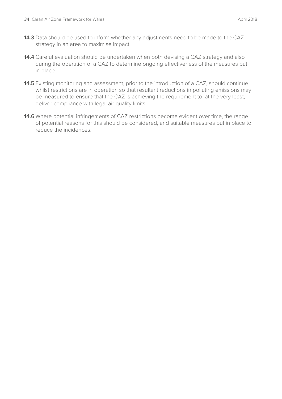- **14.3** Data should be used to inform whether any adjustments need to be made to the CAZ strategy in an area to maximise impact.
- **14.4** Careful evaluation should be undertaken when both devising a CAZ strategy and also during the operation of a CAZ to determine ongoing effectiveness of the measures put in place.
- **14.5** Existing monitoring and assessment, prior to the introduction of a CAZ, should continue whilst restrictions are in operation so that resultant reductions in polluting emissions may be measured to ensure that the CAZ is achieving the requirement to, at the very least, deliver compliance with legal air quality limits.
- **14.6** Where potential infringements of CAZ restrictions become evident over time, the range of potential reasons for this should be considered, and suitable measures put in place to reduce the incidences.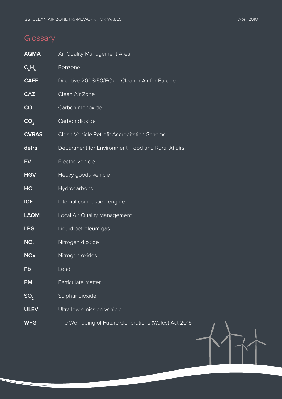## **Glossary**

| <b>AQMA</b>     | Air Quality Management Area                           |
|-----------------|-------------------------------------------------------|
| $C_{6}H_{6}$    | Benzene                                               |
| <b>CAFE</b>     | Directive 2008/50/EC on Cleaner Air for Europe        |
| <b>CAZ</b>      | Clean Air Zone                                        |
| CO              | Carbon monoxide                                       |
| CO <sub>2</sub> | Carbon dioxide                                        |
| <b>CVRAS</b>    | Clean Vehicle Retrofit Accreditation Scheme           |
| defra           | Department for Environment, Food and Rural Affairs    |
| EV              | Electric vehicle                                      |
| <b>HGV</b>      | Heavy goods vehicle                                   |
| HC              | Hydrocarbons                                          |
| <b>ICE</b>      | Internal combustion engine                            |
| <b>LAQM</b>     | Local Air Quality Management                          |
| <b>LPG</b>      | Liquid petroleum gas                                  |
| NO <sub>2</sub> | Nitrogen dioxide                                      |
| <b>NOx</b>      | Nitrogen oxides                                       |
| Pb              | Lead                                                  |
| <b>PM</b>       | Particulate matter                                    |
| SO <sub>2</sub> | Sulphur dioxide                                       |
| <b>ULEV</b>     | Ultra low emission vehicle                            |
| <b>WFG</b>      | The Well-being of Future Generations (Wales) Act 2015 |

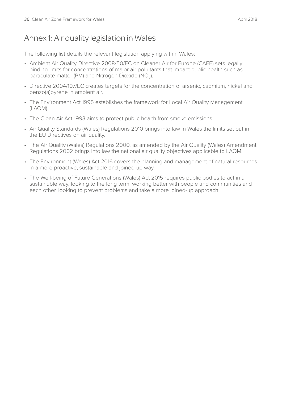## Annex 1: Air quality legislation in Wales

The following list details the relevant legislation applying within Wales:

- Ambient Air Quality Directive 2008/50/EC on Cleaner Air for Europe (CAFE) sets legally binding limits for concentrations of major air pollutants that impact public health such as particulate matter (PM) and Nitrogen Dioxide ( $NO<sub>2</sub>$ ).
- Directive 2004/107/EC creates targets for the concentration of arsenic, cadmium, nickel and benzo(a)pyrene in ambient air.
- The Environment Act 1995 establishes the framework for Local Air Quality Management (LAQM).
- The Clean Air Act 1993 aims to protect public health from smoke emissions.
- Air Quality Standards (Wales) Regulations 2010 brings into law in Wales the limits set out in the EU Directives on air quality.
- The Air Quality (Wales) Regulations 2000, as amended by the Air Quality (Wales) Amendment Regulations 2002 brings into law the national air quality objectives applicable to LAQM.
- The Environment (Wales) Act 2016 covers the planning and management of natural resources in a more proactive, sustainable and joined-up way.
- The Well-being of Future Generations (Wales) Act 2015 requires public bodies to act in a sustainable way, looking to the long term, working better with people and communities and each other, looking to prevent problems and take a more joined-up approach.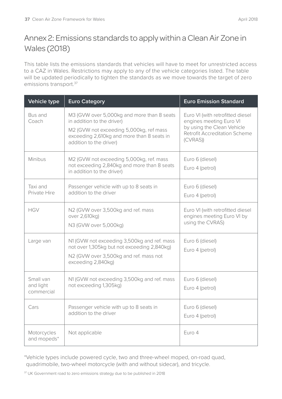## Annex 2: Emissions standards to apply within a Clean Air Zone in Wales (2018)

This table lists the emissions standards that vehicles will have to meet for unrestricted access to a CAZ in Wales. Restrictions may apply to any of the vehicle categories listed. The table will be updated periodically to tighten the standards as we move towards the target of zero emissions transport.<sup>37</sup>

| <b>Vehicle type</b>                  | <b>Euro Category</b>                                                                                                                                                                         | <b>Euro Emission Standard</b>                                                                                                                |
|--------------------------------------|----------------------------------------------------------------------------------------------------------------------------------------------------------------------------------------------|----------------------------------------------------------------------------------------------------------------------------------------------|
| Bus and<br>Coach                     | M3 (GVW over 5,000kg and more than 8 seats<br>in addition to the driver)<br>M2 (GVW not exceeding 5,000kg, ref mass<br>exceeding 2,610kg and more than 8 seats in<br>addition to the driver) | Euro VI (with retrofitted diesel<br>engines meeting Euro VI<br>by using the Clean Vehicle<br><b>Retrofit Accreditation Scheme</b><br>(CVRAS) |
| Minibus                              | M2 (GVW not exceeding 5,000kg, ref. mass<br>not exceeding 2,840kg and more than 8 seats<br>in addition to the driver)                                                                        | Euro 6 (diesel)<br>Euro 4 (petrol)                                                                                                           |
| Taxi and<br>Private Hire             | Passenger vehicle with up to 8 seats in<br>addition to the driver                                                                                                                            | Euro 6 (diesel)<br>Euro 4 (petrol)                                                                                                           |
| <b>HGV</b>                           | N2 (GVW over 3,500kg and ref. mass<br>over 2,610kg)<br>N3 (GVW over 5,000kg)                                                                                                                 | Euro VI (with retrofitted diesel<br>engines meeting Euro VI by<br>using the CVRAS)                                                           |
| Large van                            | N1 (GVW not exceeding 3,500kg and ref. mass<br>not over 1,305kg but not exceeding 2,840kg)<br>N2 (GVW over 3,500kg and ref. mass not<br>exceeding 2,840kg)                                   | Euro 6 (diesel)<br>Euro 4 (petrol)                                                                                                           |
| Small van<br>and light<br>commercial | N1 (GVW not exceeding 3,500kg and ref. mass<br>not exceeding 1,305kg)                                                                                                                        | Euro 6 (diesel)<br>Euro 4 (petrol)                                                                                                           |
| Cars                                 | Passenger vehicle with up to 8 seats in<br>addition to the driver                                                                                                                            | Euro 6 (diesel)<br>Euro 4 (petrol)                                                                                                           |
| Motorcycles<br>and mopeds*           | Not applicable                                                                                                                                                                               | Euro 4                                                                                                                                       |

\*Vehicle types include powered cycle, two and three-wheel moped, on-road quad, quadrimobile, two-wheel motorcycle (with and without sidecar), and tricycle.

<sup>37</sup> UK Government road to zero emissions strategy due to be published in 2018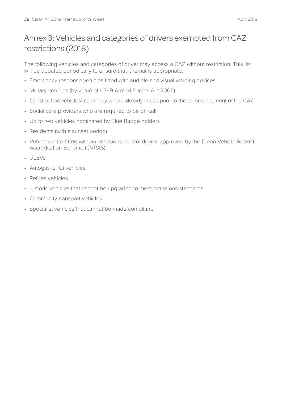## Annex 3: Vehicles and categories of drivers exempted from CAZ restrictions (2018)

The following vehicles and categories of driver may access a CAZ without restriction. This list will be updated periodically to ensure that it remains appropriate.

- Emergency response vehicles fitted with audible and visual warning devices
- Military vehicles (by virtue of s.349 Armed Forces Act 2006)
- Construction vehicles/machinery where already in use prior to the commencement of the CAZ
- Social care providers who are required to be on call
- Up to two vehicles nominated by Blue Badge holders
- Residents (with a sunset period)
- Vehicles retro-fitted with an emissions control device approved by the Clean Vehicle Retrofit Accreditation Scheme (CVRAS)
- ULEVs
- Autogas (LPG) vehicles
- Refuse vehicles
- Historic vehicles that cannot be upgraded to meet emissions standards
- Community transport vehicles
- Specialist vehicles that cannot be made compliant.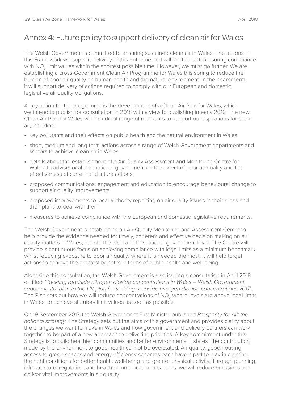## Annex 4: Future policy to support delivery of clean air for Wales

The Welsh Government is committed to ensuring sustained clean air in Wales. The actions in this Framework will support delivery of this outcome and will contribute to ensuring compliance with NO<sub>2</sub> limit values within the shortest possible time. However, we must go further. We are establishing a cross-Government Clean Air Programme for Wales this spring to reduce the burden of poor air quality on human health and the natural environment. In the nearer term, it will support delivery of actions required to comply with our European and domestic legislative air quality obligations.

A key action for the programme is the development of a Clean Air Plan for Wales, which we intend to publish for consultation in 2018 with a view to publishing in early 2019. The new Clean Air Plan for Wales will include of range of measures to support our aspirations for clean air, including:

- key pollutants and their effects on public health and the natural environment in Wales
- short, medium and long term actions across a range of Welsh Government departments and sectors to achieve clean air in Wales
- details about the establishment of a Air Quality Assessment and Monitoring Centre for Wales, to advise local and national government on the extent of poor air quality and the effectiveness of current and future actions
- proposed communications, engagement and education to encourage behavioural change to support air quality improvements
- proposed improvements to local authority reporting on air quality issues in their areas and their plans to deal with them
- measures to achieve compliance with the European and domestic legislative requirements.

The Welsh Government is establishing an Air Quality Monitoring and Assessment Centre to help provide the evidence needed for timely, coherent and effective decision making on air quality matters in Wales, at both the local and the national government level. The Centre will provide a continuous focus on achieving compliance with legal limits as a minimum benchmark, whilst reducing exposure to poor air quality where it is needed the most. It will help target actions to achieve the greatest benefits in terms of public health and well-being.

Alongside this consultation, the Welsh Government is also issuing a consultation in April 2018 entitled; '*Tackling roadside nitrogen dioxide concentrations in Wales – Welsh Government supplemental plan to the UK plan for tackling roadside nitrogen dioxide concentrations 2017*'. The Plan sets out how we will reduce concentrations of NO<sub>2</sub> where levels are above legal limits in Wales, to achieve statutory limit values as soon as possible.

On 19 September 2017, the Welsh Government First Minister published *Prosperity for All: the national strategy*. The Strategy sets out the aims of this government and provides clarity about the changes we want to make in Wales and how government and delivery partners can work together to be part of a new approach to delivering priorities. A key commitment under this Strategy is to build healthier communities and better environments. It states "the contribution made by the environment to good health cannot be overstated. Air quality, good housing, access to green spaces and energy efficiency schemes each have a part to play in creating the right conditions for better health, well-being and greater physical activity. Through planning, infrastructure, regulation, and health communication measures, we will reduce emissions and deliver vital improvements in air quality."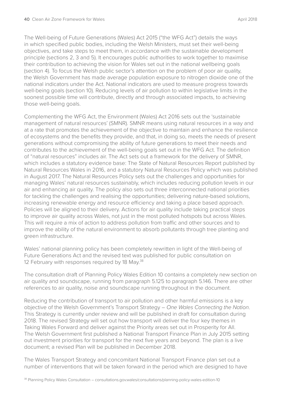The Well-being of Future Generations (Wales) Act 2015 ("the WFG Act") details the ways in which specified public bodies, including the Welsh Ministers, must set their well-being objectives, and take steps to meet them, in accordance with the sustainable development principle (sections 2, 3 and 5). It encourages public authorities to work together to maximise their contribution to achieving the vision for Wales set out in the national wellbeing goals (section 4). To focus the Welsh public sector's attention on the problem of poor air quality, the Welsh Government has made average population exposure to nitrogen dioxide one of the national indicators under the Act. National indicators are used to measure progress towards well-being goals (section 10). Reducing levels of air pollution to within legislative limits in the soonest possible time will contribute, directly and through associated impacts, to achieving those well-being goals.

Complementing the WFG Act, the Environment (Wales) Act 2016 sets out the 'sustainable management of natural resources' (SMNR). SMNR means using natural resources in a way and at a rate that promotes the achievement of the objective to maintain and enhance the resilience of ecosystems and the benefits they provide, and that, in doing so, meets the needs of present generations without compromising the ability of future generations to meet their needs and contributes to the achievement of the well-being goals set out in the WFG Act. The definition of "natural resources" includes air. The Act sets out a framework for the delivery of SMNR, which includes a statutory evidence base: The State of Natural Resources Report published by Natural Resources Wales in 2016, and a statutory Natural Resources Policy which was published in August 2017. The Natural Resources Policy sets out the challenges and opportunities for managing Wales' natural resources sustainably, which includes reducing pollution levels in our air and enhancing air quality. The policy also sets out three interconnected national priorities for tackling the challenges and realising the opportunities; delivering nature-based solutions, increasing renewable energy and resource efficiency and taking a place based approach. Policies will be aligned to their delivery. Actions for air quality include taking practical steps to improve air quality across Wales, not just in the most polluted hotspots but across Wales. This will require a mix of action to address pollution from traffic and other sources and to improve the ability of the natural environment to absorb pollutants through tree planting and green infrastructure.

Wales' national planning policy has been completely rewritten in light of the Well-being of Future Generations Act and the revised text was published for public consultation on 12 February with responses required by 18 May.<sup>38</sup>

The consultation draft of Planning Policy Wales Edition 10 contains a completely new section on air quality and soundscape, running from paragraph 5.125 to paragraph 5.146. There are other references to air quality, noise and soundscape running throughout in the document.

Reducing the contribution of transport to air pollution and other harmful emissions is a key objective of the Welsh Government's Transport Strategy – *One Wales Connecting the Nation*. This Strategy is currently under review and will be published in draft for consultation during 2018. The revised Strategy will set out how transport will deliver the four key themes in Taking Wales Forward and deliver against the Priority areas set out in Prosperity for All. The Welsh Government first published a National Transport Finance Plan in July 2015 setting out investment priorities for transport for the next five years and beyond. The plan is a live document; a revised Plan will be published in December 2018.

The Wales Transport Strategy and concomitant National Transport Finance plan set out a number of interventions that will be taken forward in the period which are designed to have